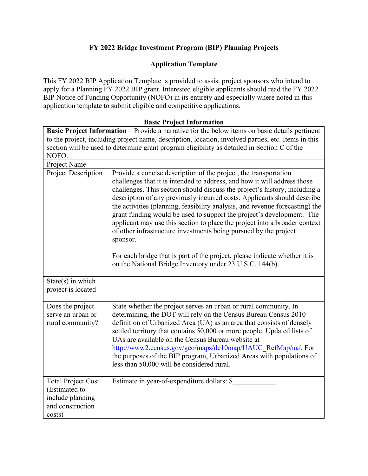# **FY 2022 Bridge Investment Program (BIP) Planning Projects**

## **Application Template**

This FY 2022 BIP Application Template is provided to assist project sponsors who intend to apply for a Planning FY 2022 BIP grant. Interested eligible applicants should read the FY 2022 BIP Notice of Funding Opportunity (NOFO) in its entirety and especially where noted in this application template to submit eligible and competitive applications.

#### **Basic Project Information**

**Basic Project Information** – Provide a narrative for the below items on basic details pertinent to the project, including project name, description, location, involved parties, etc. Items in this section will be used to determine grant program eligibility as detailed in Section C of the NOFO.

| Project Name                                                                                 |                                                                                                                                                                                                                                                                                                                                                                                                                                                                                                                                                                                                                                                                                                                                                                         |
|----------------------------------------------------------------------------------------------|-------------------------------------------------------------------------------------------------------------------------------------------------------------------------------------------------------------------------------------------------------------------------------------------------------------------------------------------------------------------------------------------------------------------------------------------------------------------------------------------------------------------------------------------------------------------------------------------------------------------------------------------------------------------------------------------------------------------------------------------------------------------------|
| <b>Project Description</b>                                                                   | Provide a concise description of the project, the transportation<br>challenges that it is intended to address, and how it will address those<br>challenges. This section should discuss the project's history, including a<br>description of any previously incurred costs. Applicants should describe<br>the activities (planning, feasibility analysis, and revenue forecasting) the<br>grant funding would be used to support the project's development. The<br>applicant may use this section to place the project into a broader context<br>of other infrastructure investments being pursued by the project<br>sponsor.<br>For each bridge that is part of the project, please indicate whether it is<br>on the National Bridge Inventory under 23 U.S.C. 144(b). |
| $State(s)$ in which<br>project is located                                                    |                                                                                                                                                                                                                                                                                                                                                                                                                                                                                                                                                                                                                                                                                                                                                                         |
| Does the project<br>serve an urban or<br>rural community?                                    | State whether the project serves an urban or rural community. In<br>determining, the DOT will rely on the Census Bureau Census 2010<br>definition of Urbanized Area (UA) as an area that consists of densely<br>settled territory that contains 50,000 or more people. Updated lists of<br>UAs are available on the Census Bureau website at<br>http://www2.census.gov/geo/maps/dc10map/UAUC RefMap/ua/. For<br>the purposes of the BIP program, Urbanized Areas with populations of<br>less than 50,000 will be considered rural.                                                                                                                                                                                                                                      |
| <b>Total Project Cost</b><br>(Estimated to<br>include planning<br>and construction<br>costs) | Estimate in year-of-expenditure dollars: \$                                                                                                                                                                                                                                                                                                                                                                                                                                                                                                                                                                                                                                                                                                                             |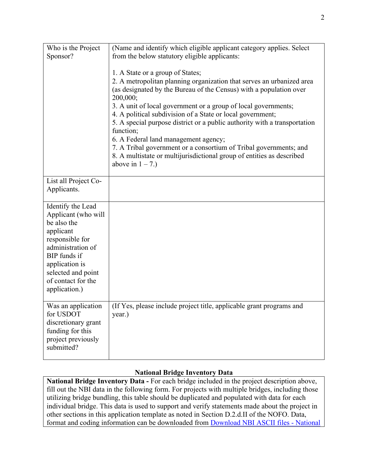| Who is the Project<br>Sponsor?                                                                                                                                                                              | (Name and identify which eligible applicant category applies. Select<br>from the below statutory eligible applicants:                                                                                                                                                                                                                                                                                                                                                                                                                                                                                                              |
|-------------------------------------------------------------------------------------------------------------------------------------------------------------------------------------------------------------|------------------------------------------------------------------------------------------------------------------------------------------------------------------------------------------------------------------------------------------------------------------------------------------------------------------------------------------------------------------------------------------------------------------------------------------------------------------------------------------------------------------------------------------------------------------------------------------------------------------------------------|
|                                                                                                                                                                                                             | 1. A State or a group of States;<br>2. A metropolitan planning organization that serves an urbanized area<br>(as designated by the Bureau of the Census) with a population over<br>200,000;<br>3. A unit of local government or a group of local governments;<br>4. A political subdivision of a State or local government;<br>5. A special purpose district or a public authority with a transportation<br>function;<br>6. A Federal land management agency;<br>7. A Tribal government or a consortium of Tribal governments; and<br>8. A multistate or multijurisdictional group of entities as described<br>above in $1 - 7$ .) |
| List all Project Co-<br>Applicants.                                                                                                                                                                         |                                                                                                                                                                                                                                                                                                                                                                                                                                                                                                                                                                                                                                    |
| Identify the Lead<br>Applicant (who will<br>be also the<br>applicant<br>responsible for<br>administration of<br>BIP funds if<br>application is<br>selected and point<br>of contact for the<br>application.) |                                                                                                                                                                                                                                                                                                                                                                                                                                                                                                                                                                                                                                    |
| Was an application<br>for USDOT<br>discretionary grant<br>funding for this<br>project previously<br>submitted?                                                                                              | (If Yes, please include project title, applicable grant programs and<br>year.)                                                                                                                                                                                                                                                                                                                                                                                                                                                                                                                                                     |

# **National Bridge Inventory Data**

**National Bridge Inventory Data -** For each bridge included in the project description above, fill out the NBI data in the following form. For projects with multiple bridges, including those utilizing bridge bundling, this table should be duplicated and populated with data for each individual bridge. This data is used to support and verify statements made about the project in other sections in this application template as noted in Section D.2.d.II of the NOFO. Data, format and coding information can be downloaded from [Download NBI ASCII files -](https://www.fhwa.dot.gov/bridge/nbi/ascii.cfm) National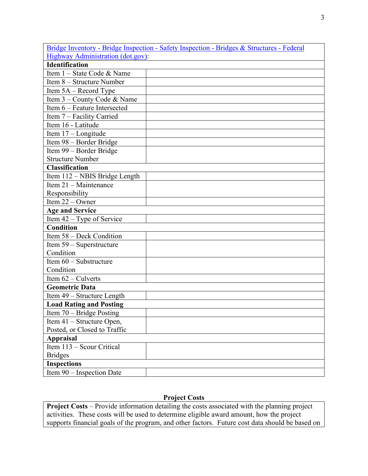|                                          | Bridge Inventory - Bridge Inspection - Safety Inspection - Bridges & Structures - Federal |  |  |  |  |
|------------------------------------------|-------------------------------------------------------------------------------------------|--|--|--|--|
| <b>Highway Administration (dot.gov):</b> |                                                                                           |  |  |  |  |
| <b>Identification</b>                    |                                                                                           |  |  |  |  |
| Item 1 - State Code & Name               |                                                                                           |  |  |  |  |
| Item 8 - Structure Number                |                                                                                           |  |  |  |  |
| Item $5A - Record$ Type                  |                                                                                           |  |  |  |  |
| Item 3 – County Code & Name              |                                                                                           |  |  |  |  |
| Item 6 - Feature Intersected             |                                                                                           |  |  |  |  |
| Item 7 - Facility Carried                |                                                                                           |  |  |  |  |
| Item 16 - Latitude                       |                                                                                           |  |  |  |  |
| Item 17 - Longitude                      |                                                                                           |  |  |  |  |
| Item 98 - Border Bridge                  |                                                                                           |  |  |  |  |
| Item 99 - Border Bridge                  |                                                                                           |  |  |  |  |
| <b>Structure Number</b>                  |                                                                                           |  |  |  |  |
| <b>Classification</b>                    |                                                                                           |  |  |  |  |
| Item 112 - NBIS Bridge Length            |                                                                                           |  |  |  |  |
| Item 21 - Maintenance                    |                                                                                           |  |  |  |  |
| Responsibility                           |                                                                                           |  |  |  |  |
| Item $22 -$ Owner                        |                                                                                           |  |  |  |  |
| <b>Age and Service</b>                   |                                                                                           |  |  |  |  |
| Item $42 - Type$ of Service              |                                                                                           |  |  |  |  |
| <b>Condition</b>                         |                                                                                           |  |  |  |  |
| Item 58 - Deck Condition                 |                                                                                           |  |  |  |  |
| Item 59 - Superstructure                 |                                                                                           |  |  |  |  |
| Condition                                |                                                                                           |  |  |  |  |
| Item 60 - Substructure                   |                                                                                           |  |  |  |  |
| Condition                                |                                                                                           |  |  |  |  |
| Item $62$ – Culverts                     |                                                                                           |  |  |  |  |
| <b>Geometric Data</b>                    |                                                                                           |  |  |  |  |
| Item 49 - Structure Length               |                                                                                           |  |  |  |  |
| <b>Load Rating and Posting</b>           |                                                                                           |  |  |  |  |
| Item 70 – Bridge Posting                 |                                                                                           |  |  |  |  |
| Item 41 – Structure Open,                |                                                                                           |  |  |  |  |
| Posted, or Closed to Traffic             |                                                                                           |  |  |  |  |
| <b>Appraisal</b>                         |                                                                                           |  |  |  |  |
| Item 113 - Scour Critical                |                                                                                           |  |  |  |  |
| <b>Bridges</b>                           |                                                                                           |  |  |  |  |
| <b>Inspections</b>                       |                                                                                           |  |  |  |  |
| Item 90 - Inspection Date                |                                                                                           |  |  |  |  |

# **Project Costs**

**Project Costs** – Provide information detailing the costs associated with the planning project activities. These costs will be used to determine eligible award amount, how the project supports financial goals of the program, and other factors. Future cost data should be based on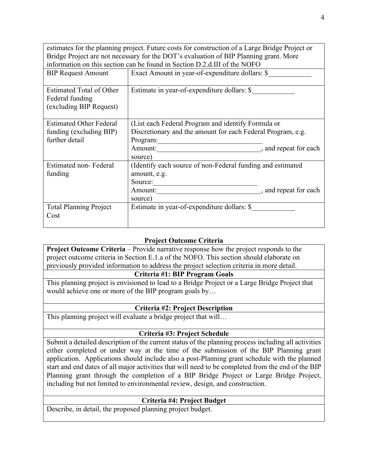estimates for the planning project. Future costs for construction of a Large Bridge Project or Bridge Project are not necessary for the DOT's evaluation of BIP Planning grant. More information on this section can be found in Section D.2.d.III of the NOFO

| <b>BIP Request Amount</b>                                                   | Exact Amount in year-of-expenditure dollars: \$                                                                                                     |                       |
|-----------------------------------------------------------------------------|-----------------------------------------------------------------------------------------------------------------------------------------------------|-----------------------|
| Estimated Total of Other<br>Federal funding<br>(excluding BIP Request)      | Estimate in year-of-expenditure dollars: \$                                                                                                         |                       |
| <b>Estimated Other Federal</b><br>funding (excluding BIP)<br>further detail | (List each Federal Program and identify Formula or<br>Discretionary and the amount for each Federal Program, e.g.<br>Program:<br>Amount:<br>source) | , and repeat for each |
| Estimated non-Federal<br>funding                                            | (Identify each source of non-Federal funding and estimated<br>amount, e.g.<br>Source:<br>Amount:<br>source)                                         | , and repeat for each |
| <b>Total Planning Project</b><br>Cost                                       | Estimate in year-of-expenditure dollars: \$                                                                                                         |                       |

## **Project Outcome Criteria**

**Project Outcome Criteria** – Provide narrative response how the project responds to the project outcome criteria in Section E.1.a of the NOFO. This section should elaborate on previously provided information to address the project selection criteria in more detail.

## **Criteria #1: BIP Program Goals**

This planning project is envisioned to lead to a Bridge Project or a Large Bridge Project that would achieve one or more of the BIP program goals by…

#### **Criteria #2: Project Description**

This planning project will evaluate a bridge project that will…

#### **Criteria #3: Project Schedule**

Submit a detailed description of the current status of the planning process including all activities either completed or under way at the time of the submission of the BIP Planning grant application. Applications should include also a post-Planning grant schedule with the planned start and end dates of all major activities that will need to be completed from the end of the BIP Planning grant through the completion of a BIP Bridge Project or Large Bridge Project, including but not limited to environmental review, design, and construction.

## **Criteria #4: Project Budget**

Describe, in detail, the proposed planning project budget.